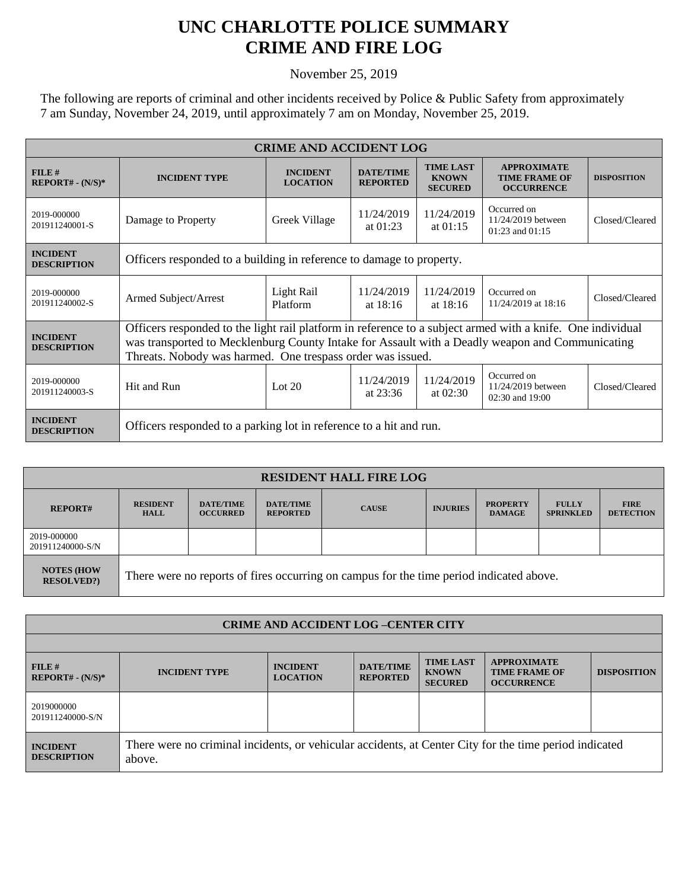## **UNC CHARLOTTE POLICE SUMMARY CRIME AND FIRE LOG**

November 25, 2019

The following are reports of criminal and other incidents received by Police & Public Safety from approximately 7 am Sunday, November 24, 2019, until approximately 7 am on Monday, November 25, 2019.

| <b>CRIME AND ACCIDENT LOG</b>         |                                                                                                                                                                                                                                                                             |                                    |                                     |                                                    |                                                                 |                    |  |
|---------------------------------------|-----------------------------------------------------------------------------------------------------------------------------------------------------------------------------------------------------------------------------------------------------------------------------|------------------------------------|-------------------------------------|----------------------------------------------------|-----------------------------------------------------------------|--------------------|--|
| FILE#<br>$REPORT# - (N/S)*$           | <b>INCIDENT TYPE</b>                                                                                                                                                                                                                                                        | <b>INCIDENT</b><br><b>LOCATION</b> | <b>DATE/TIME</b><br><b>REPORTED</b> | <b>TIME LAST</b><br><b>KNOWN</b><br><b>SECURED</b> | <b>APPROXIMATE</b><br><b>TIME FRAME OF</b><br><b>OCCURRENCE</b> | <b>DISPOSITION</b> |  |
| 2019-000000<br>201911240001-S         | Damage to Property                                                                                                                                                                                                                                                          | Greek Village                      | 11/24/2019<br>at $01:23$            | 11/24/2019<br>at $01:15$                           | Occurred on<br>11/24/2019 between<br>$01:23$ and $01:15$        | Closed/Cleared     |  |
| <b>INCIDENT</b><br><b>DESCRIPTION</b> | Officers responded to a building in reference to damage to property.                                                                                                                                                                                                        |                                    |                                     |                                                    |                                                                 |                    |  |
| 2019-000000<br>201911240002-S         | Armed Subject/Arrest                                                                                                                                                                                                                                                        | Light Rail<br>Platform             | 11/24/2019<br>at $18:16$            | 11/24/2019<br>at $18:16$                           | Occurred on<br>11/24/2019 at 18:16                              | Closed/Cleared     |  |
| <b>INCIDENT</b><br><b>DESCRIPTION</b> | Officers responded to the light rail platform in reference to a subject armed with a knife. One individual<br>was transported to Mecklenburg County Intake for Assault with a Deadly weapon and Communicating<br>Threats. Nobody was harmed. One trespass order was issued. |                                    |                                     |                                                    |                                                                 |                    |  |
| 2019-000000<br>201911240003-S         | Hit and Run                                                                                                                                                                                                                                                                 | Lot $20$                           | 11/24/2019<br>at $23:36$            | 11/24/2019<br>at $02:30$                           | Occurred on<br>11/24/2019 between<br>02:30 and 19:00            | Closed/Cleared     |  |
| <b>INCIDENT</b><br><b>DESCRIPTION</b> | Officers responded to a parking lot in reference to a hit and run.                                                                                                                                                                                                          |                                    |                                     |                                                    |                                                                 |                    |  |

| <b>RESIDENT HALL FIRE LOG</b>          |                                                                                         |                                     |                                     |              |                 |                                  |                                  |                                 |
|----------------------------------------|-----------------------------------------------------------------------------------------|-------------------------------------|-------------------------------------|--------------|-----------------|----------------------------------|----------------------------------|---------------------------------|
| <b>REPORT#</b>                         | <b>RESIDENT</b><br><b>HALL</b>                                                          | <b>DATE/TIME</b><br><b>OCCURRED</b> | <b>DATE/TIME</b><br><b>REPORTED</b> | <b>CAUSE</b> | <b>INJURIES</b> | <b>PROPERTY</b><br><b>DAMAGE</b> | <b>FULLY</b><br><b>SPRINKLED</b> | <b>FIRE</b><br><b>DETECTION</b> |
| 2019-000000<br>201911240000-S/N        |                                                                                         |                                     |                                     |              |                 |                                  |                                  |                                 |
| <b>NOTES (HOW</b><br><b>RESOLVED?)</b> | There were no reports of fires occurring on campus for the time period indicated above. |                                     |                                     |              |                 |                                  |                                  |                                 |

| <b>CRIME AND ACCIDENT LOG-CENTER CITY</b> |                                                                                                                  |                                    |                                     |                                                    |                                                                 |                    |
|-------------------------------------------|------------------------------------------------------------------------------------------------------------------|------------------------------------|-------------------------------------|----------------------------------------------------|-----------------------------------------------------------------|--------------------|
|                                           |                                                                                                                  |                                    |                                     |                                                    |                                                                 |                    |
| $FILE$ #<br>$REPORT# - (N/S)*$            | <b>INCIDENT TYPE</b>                                                                                             | <b>INCIDENT</b><br><b>LOCATION</b> | <b>DATE/TIME</b><br><b>REPORTED</b> | <b>TIME LAST</b><br><b>KNOWN</b><br><b>SECURED</b> | <b>APPROXIMATE</b><br><b>TIME FRAME OF</b><br><b>OCCURRENCE</b> | <b>DISPOSITION</b> |
| 2019000000<br>201911240000-S/N            |                                                                                                                  |                                    |                                     |                                                    |                                                                 |                    |
| <b>INCIDENT</b><br><b>DESCRIPTION</b>     | There were no criminal incidents, or vehicular accidents, at Center City for the time period indicated<br>above. |                                    |                                     |                                                    |                                                                 |                    |